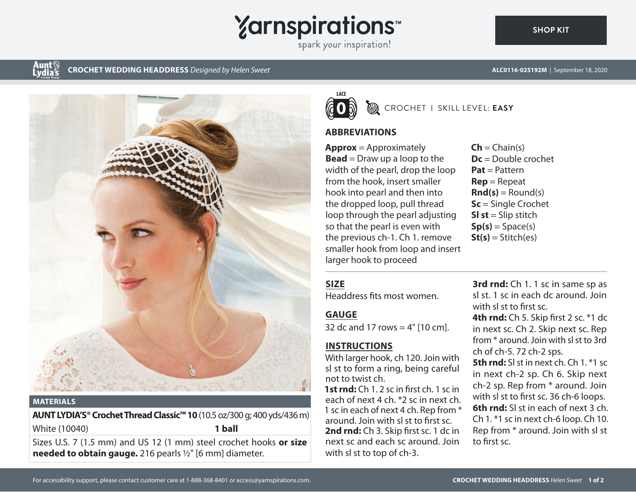

spark your inspiration!

# Aunt§<br>Lydias

**CROCHET WEDDING HEADDRESS** *Designed by Helen Sweet* **ALC0116-025192M** | September 18, 2020



#### **MATERIALS**

**AUNT LYDIA'S® Crochet Thread Classic™ 10** (10.5 oz/300 g; 400 yds/436 m) White (10040) **1 ball**

Sizes U.S. 7 (1.5 mm) and US 12 (1 mm) steel crochet hooks **or size needed to obtain gauge.** 216 pearls ½" [6 mm] diameter.



# CROCHET I SKILL LEVEL: **EASY**

#### **ABBREVIATIONS**

**Approx** = Approximately **Bead** = Draw up a loop to the width of the pearl, drop the loop from the hook, insert smaller hook into pearl and then into the dropped loop, pull thread loop through the pearl adjusting so that the pearl is even with the previous ch-1. Ch 1. remove smaller hook from loop and insert larger hook to proceed

 $\mathsf{Ch} = \mathsf{Chain}(s)$ **Dc** = Double crochet **Pat** = Pattern **Rep** = Repeat  $\mathbf{Rnd}(s) = \text{Round}(s)$ **Sc** = Single Crochet **Sl st** = Slip stitch  $Sp(s) = Space(s)$  $St(s) = Stitch(es)$ 

#### **SIZE**

Headdress fits most women.

# **GAUGE**

32 dc and 17 rows  $=$  4" [10 cm].

# **INSTRUCTIONS**

With larger hook, ch 120. Join with sl st to form a ring, being careful not to twist ch.

**1st rnd:** Ch 1. 2 sc in first ch. 1 sc in each of next 4 ch. \*2 sc in next ch. 1 sc in each of next 4 ch. Rep from \* around. Join with sl st to first sc. **2nd rnd:** Ch 3. Skip first sc. 1 dc in next sc and each sc around. Join with sl st to top of ch-3.

**3rd rnd:** Ch 1. 1 sc in same sp as sl st. 1 sc in each dc around. Join with sl st to first sc.

**4th rnd:** Ch 5. Skip first 2 sc. \*1 dc in next sc. Ch 2. Skip next sc. Rep from \* around. Join with sl st to 3rd ch of ch-5. 72 ch-2 sps.

**5th rnd:** SI st in next ch. Ch 1. \*1 sc in next ch-2 sp. Ch 6. Skip next ch-2 sp. Rep from \* around. Join with sl st to first sc. 36 ch-6 loops. **6th rnd:** SI st in each of next 3 ch. Ch 1. \*1 sc in next ch-6 loop. Ch 10. Rep from \* around. Join with sl st to first sc.